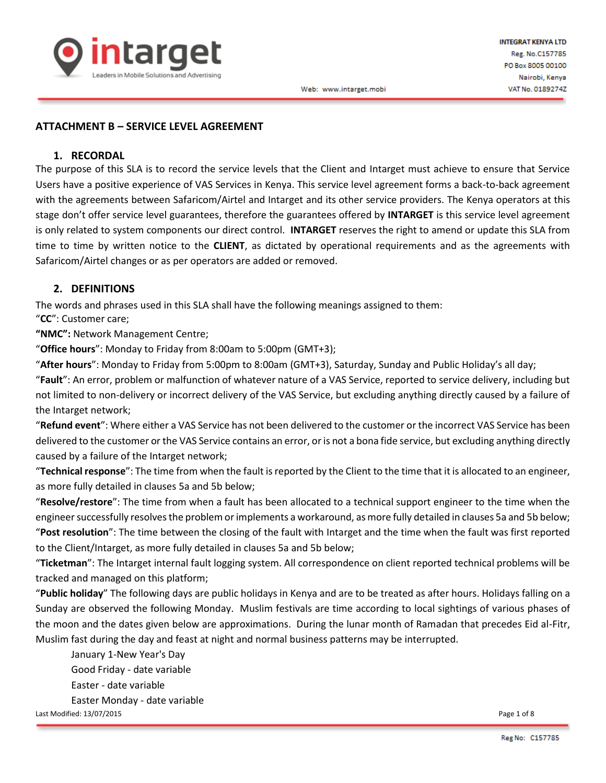

## **ATTACHMENT B – SERVICE LEVEL AGREEMENT**

### **1. RECORDAL**

The purpose of this SLA is to record the service levels that the Client and Intarget must achieve to ensure that Service Users have a positive experience of VAS Services in Kenya. This service level agreement forms a back-to-back agreement with the agreements between Safaricom/Airtel and Intarget and its other service providers. The Kenya operators at this stage don't offer service level guarantees, therefore the guarantees offered by **INTARGET** is this service level agreement is only related to system components our direct control. **INTARGET** reserves the right to amend or update this SLA from time to time by written notice to the **CLIENT**, as dictated by operational requirements and as the agreements with Safaricom/Airtel changes or as per operators are added or removed.

### **2. DEFINITIONS**

The words and phrases used in this SLA shall have the following meanings assigned to them:

"**CC**": Customer care;

**"NMC":** Network Management Centre;

"**Office hours**": Monday to Friday from 8:00am to 5:00pm (GMT+3);

"**After hours**": Monday to Friday from 5:00pm to 8:00am (GMT+3), Saturday, Sunday and Public Holiday's all day;

"**Fault**": An error, problem or malfunction of whatever nature of a VAS Service, reported to service delivery, including but not limited to non-delivery or incorrect delivery of the VAS Service, but excluding anything directly caused by a failure of the Intarget network;

"**Refund event**": Where either a VAS Service has not been delivered to the customer or the incorrect VAS Service has been delivered to the customer or the VAS Service contains an error, or is not a bona fide service, but excluding anything directly caused by a failure of the Intarget network;

"**Technical response**": The time from when the fault is reported by the Client to the time that it is allocated to an engineer, as more fully detailed in clauses 5a and 5b below;

"**Resolve/restore**": The time from when a fault has been allocated to a technical support engineer to the time when the engineer successfully resolves the problem or implements a workaround, as more fully detailed in clauses 5a and 5b below; "**Post resolution**": The time between the closing of the fault with Intarget and the time when the fault was first reported to the Client/Intarget, as more fully detailed in clauses 5a and 5b below;

"**Ticketman**": The Intarget internal fault logging system. All correspondence on client reported technical problems will be tracked and managed on this platform;

"**Public holiday**" The following days are public holidays in Kenya and are to be treated as after hours. Holidays falling on a Sunday are observed the following Monday. Muslim festivals are time according to local sightings of various phases of the moon and the dates given below are approximations. During the lunar month of Ramadan that precedes Eid al-Fitr, Muslim fast during the day and feast at night and normal business patterns may be interrupted.

January 1-New Year's Day Good Friday - date variable Easter - date variable Easter Monday - date variable Last Modified: 13/07/2015 Page 1 of 8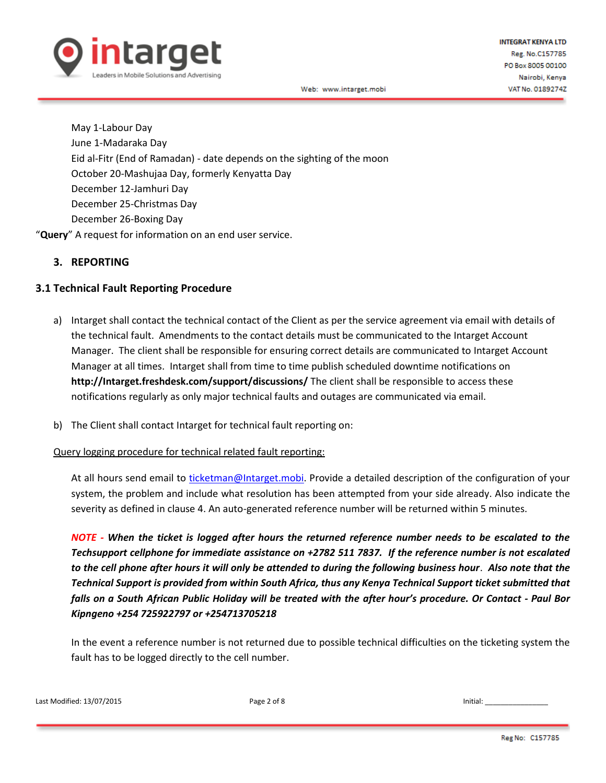

May 1-Labour Day June 1-Madaraka Day Eid al-Fitr (End of Ramadan) - date depends on the sighting of the moon October 20-Mashujaa Day, formerly Kenyatta Day December 12-Jamhuri Day December 25-Christmas Day December 26-Boxing Day

"**Query**" A request for information on an end user service.

# **3. REPORTING**

# **3.1 Technical Fault Reporting Procedure**

- a) Intarget shall contact the technical contact of the Client as per the service agreement via email with details of the technical fault. Amendments to the contact details must be communicated to the Intarget Account Manager. The client shall be responsible for ensuring correct details are communicated to Intarget Account Manager at all times. Intarget shall from time to time publish scheduled downtime notifications on **http://Intarget.freshdesk.com/support/discussions/** The client shall be responsible to access these notifications regularly as only major technical faults and outages are communicated via email.
- b) The Client shall contact Intarget for technical fault reporting on:

### Query logging procedure for technical related fault reporting:

At all hours send email to [ticketman@Intarget.mobi.](mailto:ticketman@Intarget.mobi) Provide a detailed description of the configuration of your system, the problem and include what resolution has been attempted from your side already. Also indicate the severity as defined in clause 4. An auto-generated reference number will be returned within 5 minutes.

*NOTE - When the ticket is logged after hours the returned reference number needs to be escalated to the Techsupport cellphone for immediate assistance on +2782 511 7837. If the reference number is not escalated to the cell phone after hours it will only be attended to during the following business hour*. *Also note that the Technical Support is provided from within South Africa, thus any Kenya Technical Support ticket submitted that falls on a South African Public Holiday will be treated with the after hour's procedure. Or Contact - Paul Bor Kipngeno +254 725922797 or +254713705218*

In the event a reference number is not returned due to possible technical difficulties on the ticketing system the fault has to be logged directly to the cell number.

Last Modified: 13/07/2015 Page 2 of 8 Initial: \_\_\_\_\_\_\_\_\_\_\_\_\_\_\_\_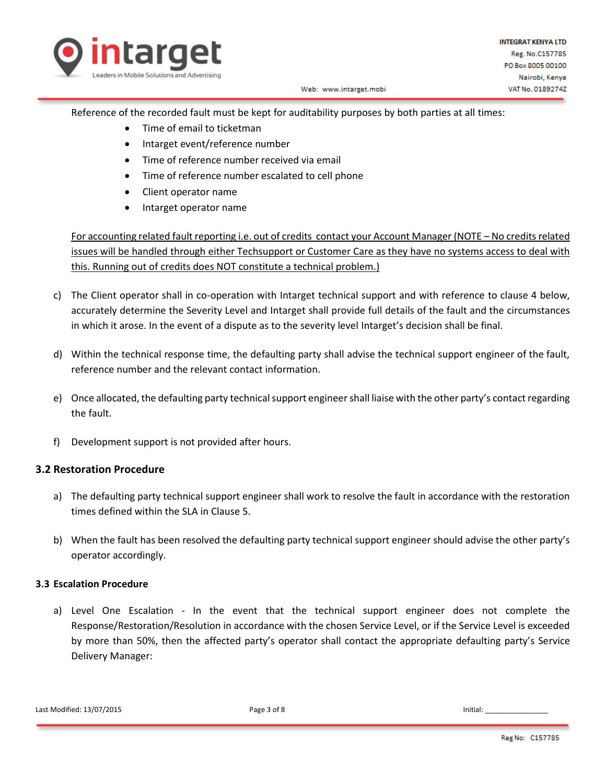

Reference of the recorded fault must be kept for auditability purposes by both parties at all times:

- Time of email to ticketman
- Intarget event/reference number
- Time of reference number received via email
- Time of reference number escalated to cell phone
- Client operator name
- Intarget operator name

For accounting related fault reporting i.e. out of credits contact your Account Manager (NOTE – No credits related issues will be handled through either Techsupport or Customer Care as they have no systems access to deal with this. Running out of credits does NOT constitute a technical problem.)

- c) The Client operator shall in co-operation with Intarget technical support and with reference to clause 4 below, accurately determine the Severity Level and Intarget shall provide full details of the fault and the circumstances in which it arose. In the event of a dispute as to the severity level Intarget's decision shall be final.
- d) Within the technical response time, the defaulting party shall advise the technical support engineer of the fault, reference number and the relevant contact information.
- e) Once allocated, the defaulting party technical support engineer shall liaise with the other party's contact regarding the fault.
- f) Development support is not provided after hours.

# **3.2 Restoration Procedure**

- a) The defaulting party technical support engineer shall work to resolve the fault in accordance with the restoration times defined within the SLA in Clause 5.
- b) When the fault has been resolved the defaulting party technical support engineer should advise the other party's operator accordingly.

# **3.3 Escalation Procedure**

a) Level One Escalation - In the event that the technical support engineer does not complete the Response/Restoration/Resolution in accordance with the chosen Service Level, or if the Service Level is exceeded by more than 50%, then the affected party's operator shall contact the appropriate defaulting party's Service Delivery Manager: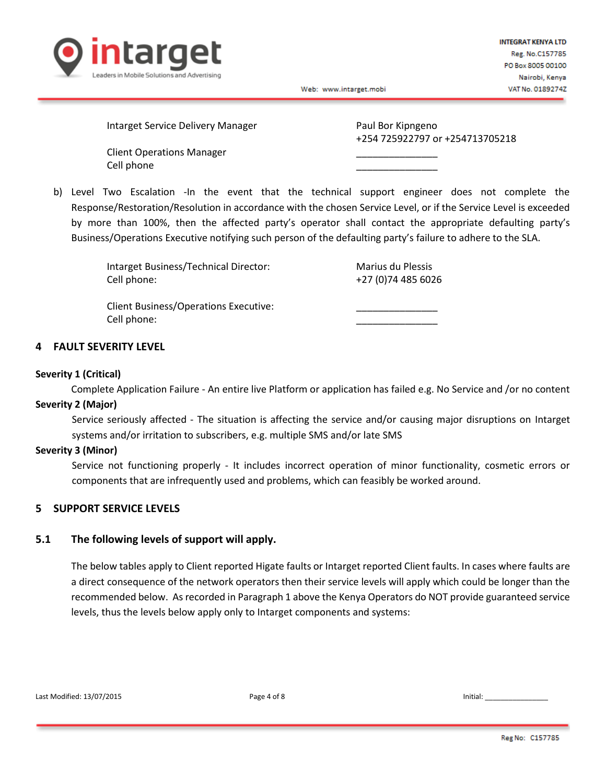

Intarget Service Delivery Manager **Paul Bor Kipngeno** 

Client Operations Manager \_\_\_\_\_\_\_\_\_\_\_\_\_\_\_ Cell phone

+254 725922797 or +254713705218

b) Level Two Escalation -In the event that the technical support engineer does not complete the Response/Restoration/Resolution in accordance with the chosen Service Level, or if the Service Level is exceeded by more than 100%, then the affected party's operator shall contact the appropriate defaulting party's Business/Operations Executive notifying such person of the defaulting party's failure to adhere to the SLA.

| Intarget Business/Technical Director:        | Marius du Plessis   |
|----------------------------------------------|---------------------|
| Cell phone:                                  | +27 (0) 74 485 6026 |
|                                              |                     |
| <b>Client Business/Operations Executive:</b> |                     |
| Cell phone:                                  |                     |

#### **4 FAULT SEVERITY LEVEL**

#### **Severity 1 (Critical)**

Complete Application Failure - An entire live Platform or application has failed e.g. No Service and /or no content **Severity 2 (Major)**

Service seriously affected - The situation is affecting the service and/or causing major disruptions on Intarget systems and/or irritation to subscribers, e.g. multiple SMS and/or late SMS

#### **Severity 3 (Minor)**

Service not functioning properly - It includes incorrect operation of minor functionality, cosmetic errors or components that are infrequently used and problems, which can feasibly be worked around.

### **5 SUPPORT SERVICE LEVELS**

### **5.1 The following levels of support will apply.**

The below tables apply to Client reported Higate faults or Intarget reported Client faults. In cases where faults are a direct consequence of the network operators then their service levels will apply which could be longer than the recommended below. Asrecorded in Paragraph 1 above the Kenya Operators do NOT provide guaranteed service levels, thus the levels below apply only to Intarget components and systems: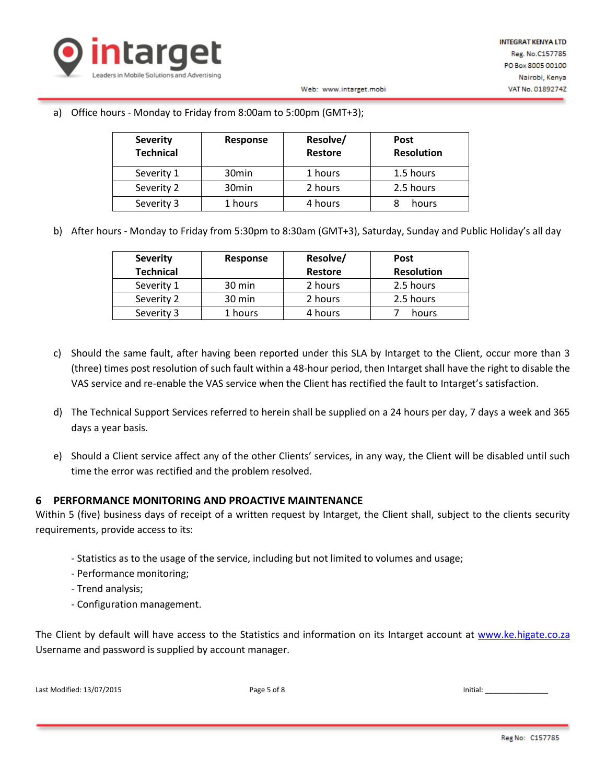

## a) Office hours - Monday to Friday from 8:00am to 5:00pm (GMT+3);

| <b>Severity</b><br><b>Technical</b> | Response          | Resolve/<br><b>Restore</b> | <b>Post</b><br><b>Resolution</b> |
|-------------------------------------|-------------------|----------------------------|----------------------------------|
| Severity 1                          | 30 <sub>min</sub> | 1 hours                    | 1.5 hours                        |
| Severity 2                          | 30 <sub>min</sub> | 2 hours                    | 2.5 hours                        |
| Severity 3                          | 1 hours           | 4 hours                    | hours                            |

b) After hours - Monday to Friday from 5:30pm to 8:30am (GMT+3), Saturday, Sunday and Public Holiday's all day

Web: www.intarget.mobi

| <b>Severity</b>  | Response         | Resolve/       | Post              |
|------------------|------------------|----------------|-------------------|
| <b>Technical</b> |                  | <b>Restore</b> | <b>Resolution</b> |
| Severity 1       | $30 \text{ min}$ | 2 hours        | 2.5 hours         |
| Severity 2       | 30 min           | 2 hours        | 2.5 hours         |
| Severity 3       | 1 hours          | 4 hours        | hours             |

- c) Should the same fault, after having been reported under this SLA by Intarget to the Client, occur more than 3 (three) times post resolution of such fault within a 48-hour period, then Intarget shall have the right to disable the VAS service and re-enable the VAS service when the Client has rectified the fault to Intarget's satisfaction.
- d) The Technical Support Services referred to herein shall be supplied on a 24 hours per day, 7 days a week and 365 days a year basis.
- e) Should a Client service affect any of the other Clients' services, in any way, the Client will be disabled until such time the error was rectified and the problem resolved.

# **6 PERFORMANCE MONITORING AND PROACTIVE MAINTENANCE**

Within 5 (five) business days of receipt of a written request by Intarget, the Client shall, subject to the clients security requirements, provide access to its:

- Statistics as to the usage of the service, including but not limited to volumes and usage;
- Performance monitoring;
- Trend analysis;
- Configuration management.

The Client by default will have access to the Statistics and information on its Intarget account at www.ke.higate.co.za Username and password is supplied by account manager.

Last Modified: 13/07/2015 Page 5 of 8 Initial: \_\_\_\_\_\_\_\_\_\_\_\_\_\_\_\_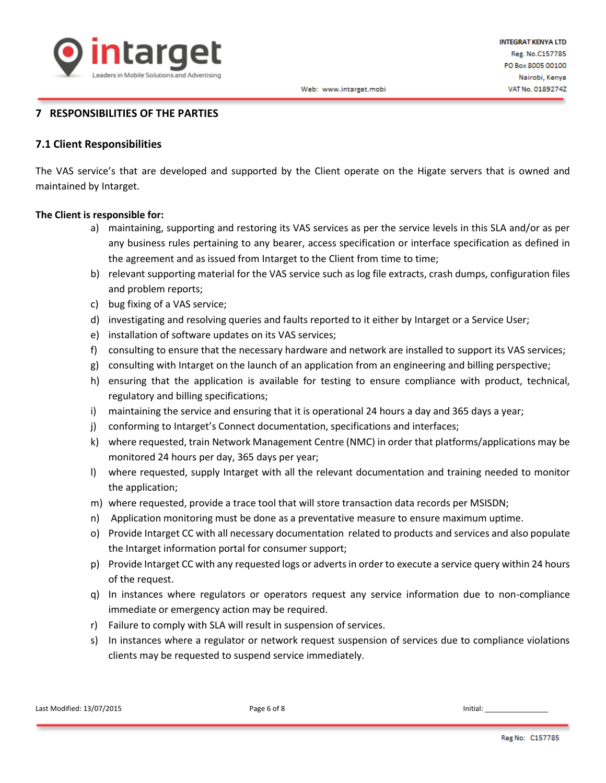

# **7 RESPONSIBILITIES OF THE PARTIES**

### **7.1 Client Responsibilities**

The VAS service's that are developed and supported by the Client operate on the Higate servers that is owned and maintained by Intarget.

### **The Client is responsible for:**

- a) maintaining, supporting and restoring its VAS services as per the service levels in this SLA and/or as per any business rules pertaining to any bearer, access specification or interface specification as defined in the agreement and as issued from Intarget to the Client from time to time;
- b) relevant supporting material for the VAS service such as log file extracts, crash dumps, configuration files and problem reports;
- c) bug fixing of a VAS service;
- d) investigating and resolving queries and faults reported to it either by Intarget or a Service User;
- e) installation of software updates on its VAS services;
- f) consulting to ensure that the necessary hardware and network are installed to support its VAS services;
- g) consulting with Intarget on the launch of an application from an engineering and billing perspective;
- h) ensuring that the application is available for testing to ensure compliance with product, technical, regulatory and billing specifications;
- i) maintaining the service and ensuring that it is operational 24 hours a day and 365 days a year;
- j) conforming to Intarget's Connect documentation, specifications and interfaces;
- k) where requested, train Network Management Centre (NMC) in order that platforms/applications may be monitored 24 hours per day, 365 days per year;
- l) where requested, supply Intarget with all the relevant documentation and training needed to monitor the application;
- m) where requested, provide a trace tool that will store transaction data records per MSISDN;
- n) Application monitoring must be done as a preventative measure to ensure maximum uptime.
- o) Provide Intarget CC with all necessary documentation related to products and services and also populate the Intarget information portal for consumer support;
- p) Provide Intarget CC with any requested logs or adverts in order to execute a service query within 24 hours of the request.
- q) In instances where regulators or operators request any service information due to non-compliance immediate or emergency action may be required.
- r) Failure to comply with SLA will result in suspension of services.
- s) In instances where a regulator or network request suspension of services due to compliance violations clients may be requested to suspend service immediately.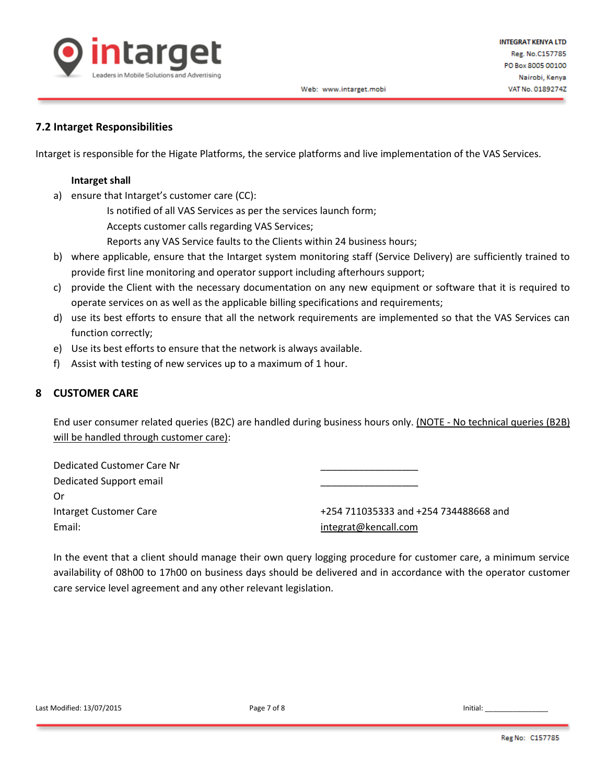

# **7.2 Intarget Responsibilities**

Intarget is responsible for the Higate Platforms, the service platforms and live implementation of the VAS Services.

### **Intarget shall**

a) ensure that Intarget's customer care (CC):

Is notified of all VAS Services as per the services launch form;

Accepts customer calls regarding VAS Services;

Reports any VAS Service faults to the Clients within 24 business hours;

- b) where applicable, ensure that the Intarget system monitoring staff (Service Delivery) are sufficiently trained to provide first line monitoring and operator support including afterhours support;
- c) provide the Client with the necessary documentation on any new equipment or software that it is required to operate services on as well as the applicable billing specifications and requirements;
- d) use its best efforts to ensure that all the network requirements are implemented so that the VAS Services can function correctly;
- e) Use its best efforts to ensure that the network is always available.
- f) Assist with testing of new services up to a maximum of 1 hour.

# **8 CUSTOMER CARE**

End user consumer related queries (B2C) are handled during business hours only. (NOTE - No technical queries (B2B) will be handled through customer care):

| Dedicated Customer Care Nr |  |
|----------------------------|--|
| Dedicated Support email    |  |
| Or                         |  |

Email: [integrat@kencall.com](mailto:integrat@kencall.com)

Intarget Customer Care +254 711035333 and +254 734488668 and

In the event that a client should manage their own query logging procedure for customer care, a minimum service availability of 08h00 to 17h00 on business days should be delivered and in accordance with the operator customer care service level agreement and any other relevant legislation.